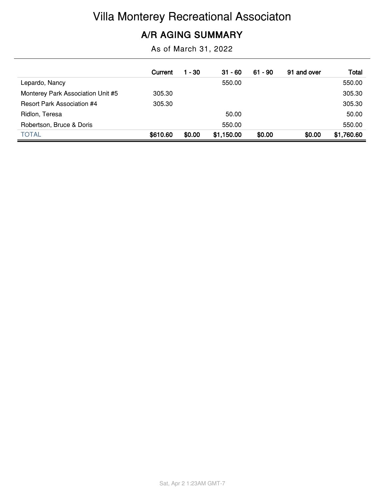# Villa Monterey Recreational Associaton

### **A/R AGING SUMMARY**

As of March 31, 2022

|                                   | Current  | 1 - 30 | $31 - 60$  | $61 - 90$ | 91 and over | Total      |
|-----------------------------------|----------|--------|------------|-----------|-------------|------------|
| Lepardo, Nancy                    |          |        | 550.00     |           |             | 550.00     |
| Monterey Park Association Unit #5 | 305.30   |        |            |           |             | 305.30     |
| <b>Resort Park Association #4</b> | 305.30   |        |            |           |             | 305.30     |
| Ridlon, Teresa                    |          |        | 50.00      |           |             | 50.00      |
| Robertson, Bruce & Doris          |          |        | 550.00     |           |             | 550.00     |
| <b>TOTAL</b>                      | \$610.60 | \$0.00 | \$1,150.00 | \$0.00    | \$0.00      | \$1,760.60 |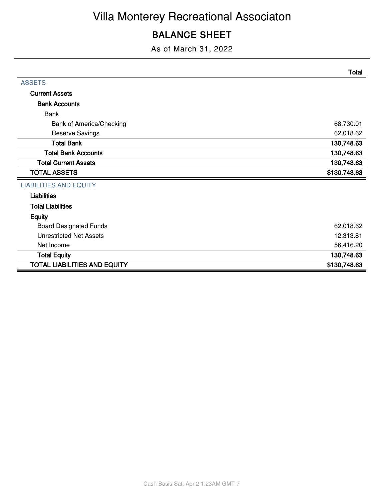### **BALANCE SHEET**

As of March 31, 2022

|                                     | <b>Total</b> |
|-------------------------------------|--------------|
| <b>ASSETS</b>                       |              |
| <b>Current Assets</b>               |              |
| <b>Bank Accounts</b>                |              |
| <b>Bank</b>                         |              |
| <b>Bank of America/Checking</b>     | 68,730.01    |
| <b>Reserve Savings</b>              | 62,018.62    |
| <b>Total Bank</b>                   | 130,748.63   |
| <b>Total Bank Accounts</b>          | 130,748.63   |
| <b>Total Current Assets</b>         | 130,748.63   |
| <b>TOTAL ASSETS</b>                 | \$130,748.63 |
| <b>LIABILITIES AND EQUITY</b>       |              |
| <b>Liabilities</b>                  |              |
| <b>Total Liabilities</b>            |              |
| <b>Equity</b>                       |              |
| <b>Board Designated Funds</b>       | 62,018.62    |
| <b>Unrestricted Net Assets</b>      | 12,313.81    |
| Net Income                          | 56,416.20    |
| <b>Total Equity</b>                 | 130,748.63   |
| <b>TOTAL LIABILITIES AND EQUITY</b> | \$130,748.63 |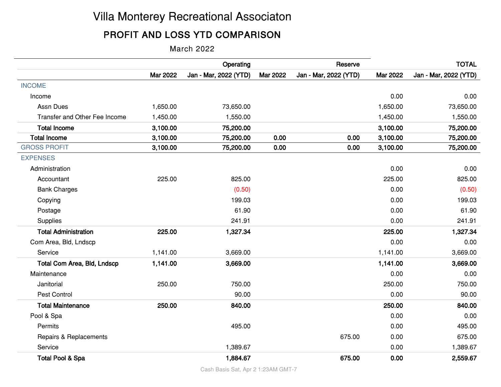## Villa Monterey Recreational Associaton

### **PROFIT AND LOSS YTD COMPARISON**

March 2022

|                               |                 | Operating             |          | Reserve               |          | <b>TOTAL</b>          |
|-------------------------------|-----------------|-----------------------|----------|-----------------------|----------|-----------------------|
|                               | <b>Mar 2022</b> | Jan - Mar, 2022 (YTD) | Mar 2022 | Jan - Mar, 2022 (YTD) | Mar 2022 | Jan - Mar, 2022 (YTD) |
| <b>INCOME</b>                 |                 |                       |          |                       |          |                       |
| Income                        |                 |                       |          |                       | 0.00     | 0.00                  |
| Assn Dues                     | 1,650.00        | 73,650.00             |          |                       | 1,650.00 | 73,650.00             |
| Transfer and Other Fee Income | 1,450.00        | 1,550.00              |          |                       | 1,450.00 | 1,550.00              |
| <b>Total Income</b>           | 3,100.00        | 75,200.00             |          |                       | 3,100.00 | 75,200.00             |
| <b>Total Income</b>           | 3,100.00        | 75,200.00             | 0.00     | 0.00                  | 3,100.00 | 75,200.00             |
| <b>GROSS PROFIT</b>           | 3,100.00        | 75,200.00             | 0.00     | 0.00                  | 3,100.00 | 75,200.00             |
| <b>EXPENSES</b>               |                 |                       |          |                       |          |                       |
| Administration                |                 |                       |          |                       | 0.00     | 0.00                  |
| Accountant                    | 225.00          | 825.00                |          |                       | 225.00   | 825.00                |
| <b>Bank Charges</b>           |                 | (0.50)                |          |                       | 0.00     | (0.50)                |
| Copying                       |                 | 199.03                |          |                       | 0.00     | 199.03                |
| Postage                       |                 | 61.90                 |          |                       | 0.00     | 61.90                 |
| Supplies                      |                 | 241.91                |          |                       | 0.00     | 241.91                |
| <b>Total Administration</b>   | 225.00          | 1,327.34              |          |                       | 225.00   | 1,327.34              |
| Com Area, Bld, Lndscp         |                 |                       |          |                       | 0.00     | 0.00                  |
| Service                       | 1,141.00        | 3,669.00              |          |                       | 1,141.00 | 3,669.00              |
| Total Com Area, Bld, Lndscp   | 1,141.00        | 3,669.00              |          |                       | 1,141.00 | 3,669.00              |
| Maintenance                   |                 |                       |          |                       | 0.00     | 0.00                  |
| Janitorial                    | 250.00          | 750.00                |          |                       | 250.00   | 750.00                |
| Pest Control                  |                 | 90.00                 |          |                       | 0.00     | 90.00                 |
| <b>Total Maintenance</b>      | 250.00          | 840.00                |          |                       | 250.00   | 840.00                |
| Pool & Spa                    |                 |                       |          |                       | 0.00     | 0.00                  |
| Permits                       |                 | 495.00                |          |                       | 0.00     | 495.00                |
| Repairs & Replacements        |                 |                       |          | 675.00                | 0.00     | 675.00                |
| Service                       |                 | 1,389.67              |          |                       | 0.00     | 1,389.67              |
| <b>Total Pool &amp; Spa</b>   |                 | 1,884.67              |          | 675.00                | 0.00     | 2,559.67              |

Cash Basis Sat, Apr 2 1:23AM GMT-7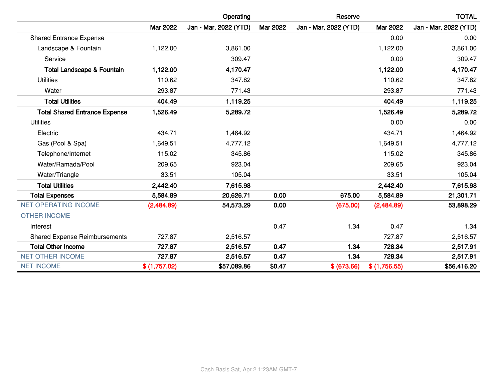|                                       |                 | Operating             |                 | Reserve               |              | <b>TOTAL</b>          |
|---------------------------------------|-----------------|-----------------------|-----------------|-----------------------|--------------|-----------------------|
|                                       | <b>Mar 2022</b> | Jan - Mar, 2022 (YTD) | <b>Mar 2022</b> | Jan - Mar, 2022 (YTD) | Mar 2022     | Jan - Mar, 2022 (YTD) |
| <b>Shared Entrance Expense</b>        |                 |                       |                 |                       | 0.00         | 0.00                  |
| Landscape & Fountain                  | 1,122.00        | 3,861.00              |                 |                       | 1,122.00     | 3,861.00              |
| Service                               |                 | 309.47                |                 |                       | 0.00         | 309.47                |
| <b>Total Landscape &amp; Fountain</b> | 1,122.00        | 4,170.47              |                 |                       | 1,122.00     | 4,170.47              |
| <b>Utilities</b>                      | 110.62          | 347.82                |                 |                       | 110.62       | 347.82                |
| Water                                 | 293.87          | 771.43                |                 |                       | 293.87       | 771.43                |
| <b>Total Utilities</b>                | 404.49          | 1,119.25              |                 |                       | 404.49       | 1,119.25              |
| <b>Total Shared Entrance Expense</b>  | 1,526.49        | 5,289.72              |                 |                       | 1,526.49     | 5,289.72              |
| <b>Utilities</b>                      |                 |                       |                 |                       | 0.00         | 0.00                  |
| Electric                              | 434.71          | 1,464.92              |                 |                       | 434.71       | 1,464.92              |
| Gas (Pool & Spa)                      | 1,649.51        | 4,777.12              |                 |                       | 1,649.51     | 4,777.12              |
| Telephone/Internet                    | 115.02          | 345.86                |                 |                       | 115.02       | 345.86                |
| Water/Ramada/Pool                     | 209.65          | 923.04                |                 |                       | 209.65       | 923.04                |
| Water/Triangle                        | 33.51           | 105.04                |                 |                       | 33.51        | 105.04                |
| <b>Total Utilities</b>                | 2,442.40        | 7,615.98              |                 |                       | 2,442.40     | 7,615.98              |
| <b>Total Expenses</b>                 | 5,584.89        | 20,626.71             | 0.00            | 675.00                | 5,584.89     | 21,301.71             |
| <b>NET OPERATING INCOME</b>           | (2,484.89)      | 54,573.29             | 0.00            | (675.00)              | (2,484.89)   | 53,898.29             |
| <b>OTHER INCOME</b>                   |                 |                       |                 |                       |              |                       |
| Interest                              |                 |                       | 0.47            | 1.34                  | 0.47         | 1.34                  |
| <b>Shared Expense Reimbursements</b>  | 727.87          | 2,516.57              |                 |                       | 727.87       | 2,516.57              |
| <b>Total Other Income</b>             | 727.87          | 2,516.57              | 0.47            | 1.34                  | 728.34       | 2,517.91              |
| <b>NET OTHER INCOME</b>               | 727.87          | 2,516.57              | 0.47            | 1.34                  | 728.34       | 2,517.91              |
| <b>NET INCOME</b>                     | \$(1,757.02)    | \$57,089.86           | \$0.47          | \$ (673.66)           | \$(1,756.55) | \$56,416.20           |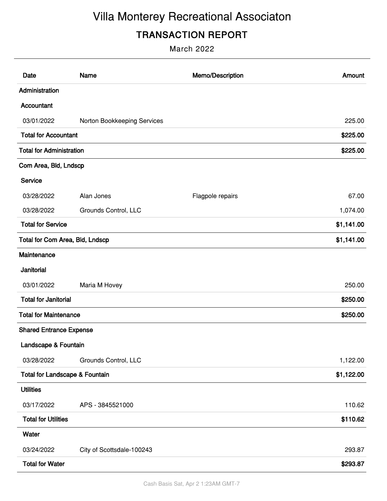# Villa Monterey Recreational Associaton

### **TRANSACTION REPORT**

March 2022

| Date                                      | Name                        | Memo/Description | Amount     |
|-------------------------------------------|-----------------------------|------------------|------------|
| Administration                            |                             |                  |            |
| Accountant                                |                             |                  |            |
| 03/01/2022                                | Norton Bookkeeping Services |                  | 225.00     |
| <b>Total for Accountant</b>               |                             |                  | \$225.00   |
| <b>Total for Administration</b>           |                             |                  | \$225.00   |
| Com Area, Bld, Lndscp                     |                             |                  |            |
| Service                                   |                             |                  |            |
| 03/28/2022                                | Alan Jones                  | Flagpole repairs | 67.00      |
| 03/28/2022                                | Grounds Control, LLC        |                  | 1,074.00   |
| <b>Total for Service</b>                  |                             |                  | \$1,141.00 |
| <b>Total for Com Area, Bld, Lndscp</b>    |                             |                  | \$1,141.00 |
| Maintenance                               |                             |                  |            |
| Janitorial                                |                             |                  |            |
| 03/01/2022                                | Maria M Hovey               |                  | 250.00     |
| <b>Total for Janitorial</b>               |                             |                  | \$250.00   |
| <b>Total for Maintenance</b>              |                             |                  | \$250.00   |
| <b>Shared Entrance Expense</b>            |                             |                  |            |
| Landscape & Fountain                      |                             |                  |            |
| 03/28/2022                                | Grounds Control, LLC        |                  | 1,122.00   |
| <b>Total for Landscape &amp; Fountain</b> |                             |                  | \$1,122.00 |
| <b>Utilities</b>                          |                             |                  |            |
| 03/17/2022                                | APS - 3845521000            |                  | 110.62     |
| <b>Total for Utilities</b>                |                             |                  | \$110.62   |
| Water                                     |                             |                  |            |
| 03/24/2022                                | City of Scottsdale-100243   |                  | 293.87     |
| <b>Total for Water</b>                    |                             |                  | \$293.87   |